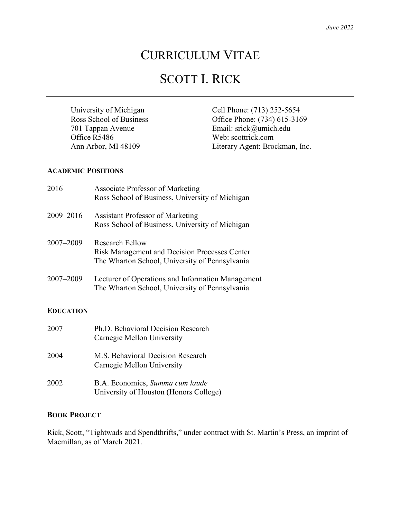## CURRICULUM VITAE

# SCOTT I. RICK

Office R5486 Web: [scottrick.com](http://www.scottrick.com/)

University of Michigan<br>
Ross School of Business<br>
Cell Phone: (713) 252-5654<br>
Office Phone: (734) 615-316 Office Phone: (734) 615-3169 701 Tappan Avenue Email: srick@umich.edu Ann Arbor, MI 48109 Literary Agent: Brockman, Inc.

#### **ACADEMIC POSITIONS**

| $2016-$          | <b>Associate Professor of Marketing</b><br>Ross School of Business, University of Michigan                                |
|------------------|---------------------------------------------------------------------------------------------------------------------------|
| 2009-2016        | <b>Assistant Professor of Marketing</b><br>Ross School of Business, University of Michigan                                |
| $2007 - 2009$    | Research Fellow<br><b>Risk Management and Decision Processes Center</b><br>The Wharton School, University of Pennsylvania |
| 2007-2009        | Lecturer of Operations and Information Management<br>The Wharton School, University of Pennsylvania                       |
| <b>EDUCATION</b> |                                                                                                                           |
| 2007             | Ph.D. Behavioral Decision Research                                                                                        |

Carnegie Mellon University 2004 M.S. Behavioral Decision Research Carnegie Mellon University 2002 B.A. Economics, *Summa cum laude* University of Houston (Honors College)

## **BOOK PROJECT**

Rick, Scott, "Tightwads and Spendthrifts," under contract with St. Martin's Press, an imprint of Macmillan, as of March 2021.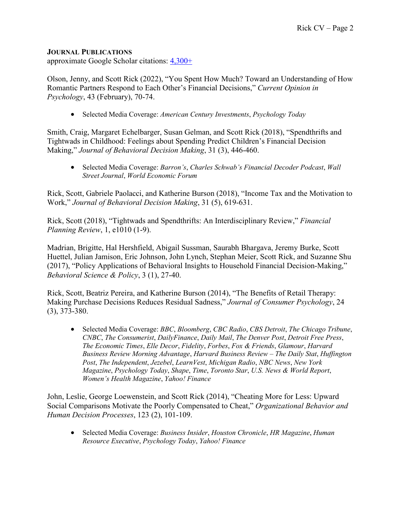## **JOURNAL PUBLICATIONS**

approximate Google Scholar citations: [4,300+](https://scholar.google.com/citations?user=OH4r24sAAAAJ)

Olson, Jenny, and Scott Rick (2022), "You Spent How Much? Toward an Understanding of How Romantic Partners Respond to Each Other's Financial Decisions," *Current Opinion in Psychology*, 43 (February), 70-74.

• Selected Media Coverage: *American Century Investments*, *Psychology Today*

Smith, Craig, Margaret Echelbarger, Susan Gelman, and Scott Rick (2018), "Spendthrifts and Tightwads in Childhood: Feelings about Spending Predict Children's Financial Decision Making," *Journal of Behavioral Decision Making*, 31 (3), 446-460.

• Selected Media Coverage: *Barron's*, *Charles Schwab's Financial Decoder Podcast*, *Wall Street Journal*, *World Economic Forum*

Rick, Scott, Gabriele Paolacci, and Katherine Burson (2018), "Income Tax and the Motivation to Work," *Journal of Behavioral Decision Making*, 31 (5), 619-631.

Rick, Scott (2018), "Tightwads and Spendthrifts: An Interdisciplinary Review," *Financial Planning Review*, 1, e1010 (1-9).

Madrian, Brigitte, Hal Hershfield, Abigail Sussman, Saurabh Bhargava, Jeremy Burke, Scott Huettel, Julian Jamison, Eric Johnson, John Lynch, Stephan Meier, Scott Rick, and Suzanne Shu (2017), "Policy Applications of Behavioral Insights to Household Financial Decision-Making," *Behavioral Science & Policy*, 3 (1), 27-40.

Rick, Scott, Beatriz Pereira, and Katherine Burson (2014), "The Benefits of Retail Therapy: Making Purchase Decisions Reduces Residual Sadness," *Journal of Consumer Psychology*, 24 (3), 373-380.

• Selected Media Coverage: *BBC*, *Bloomberg*, *CBC Radio*, *CBS Detroit*, *The Chicago Tribune*, *CNBC*, *The Consumerist*, *DailyFinance*, *Daily Mail*, *The Denver Post*, *Detroit Free Press*, *The Economic Times*, *Elle Decor*, *Fidelity*, *Forbes*, *Fox & Friends*, *Glamour*, *Harvard Business Review Morning Advantage*, *Harvard Business Review – The Daily Stat*, *Huffington Post*, *The Independent*, *Jezebel*, *LearnVest*, *Michigan Radio*, *NBC News*, *New York Magazine*, *Psychology Today*, *Shape*, *Time*, *Toronto Star*, *U.S. News & World Report*, *Women's Health Magazine*, *Yahoo! Finance*

John, Leslie, George Loewenstein, and Scott Rick (2014), "Cheating More for Less: Upward Social Comparisons Motivate the Poorly Compensated to Cheat," *Organizational Behavior and Human Decision Processes*, 123 (2), 101-109.

• Selected Media Coverage: *Business Insider*, *Houston Chronicle*, *HR Magazine*, *Human Resource Executive*, *Psychology Today*, *Yahoo! Finance*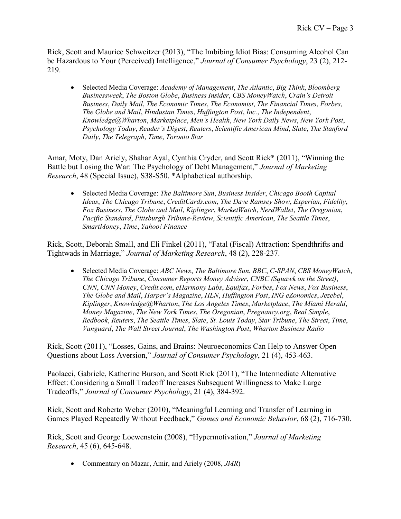Rick, Scott and Maurice Schweitzer (2013), "The Imbibing Idiot Bias: Consuming Alcohol Can be Hazardous to Your (Perceived) Intelligence," *Journal of Consumer Psychology*, 23 (2), 212- 219.

• Selected Media Coverage: *Academy of Management*, *The Atlantic*, *Big Think*, *Bloomberg Businessweek*, *The Boston Globe*, *Business Insider*, *CBS MoneyWatch*, *Crain's Detroit Business*, *Daily Mail*, *The Economic Times*, *The Economist*, *The Financial Times*, *Forbes*, *The Globe and Mail*, *Hindustan Times*, *Huffington Post*, *Inc.*, *The Independent*, *Knowledge@Wharton*, *Marketplace*, *Men's Health*, *New York Daily News*, *New York Post*, *Psychology Today*, *Reader's Digest*, *Reuters*, *Scientific American Mind*, *Slate*, *The Stanford Daily*, *The Telegraph*, *Time*, *Toronto Star*

Amar, Moty, Dan Ariely, Shahar Ayal, Cynthia Cryder, and Scott Rick\* (2011), "Winning the Battle but Losing the War: The Psychology of Debt Management," *Journal of Marketing Research*, 48 (Special Issue), S38-S50. \*Alphabetical authorship.

• Selected Media Coverage: *The Baltimore Sun*, *Business Insider*, *Chicago Booth Capital Ideas*, *The Chicago Tribune*, *CreditCards.com*, *The Dave Ramsey Show*, *Experian*, *Fidelity*, *Fox Business*, *The Globe and Mail*, *Kiplinger*, *MarketWatch*, *NerdWallet*, *The Oregonian*, *Pacific Standard*, *Pittsburgh Tribune-Review*, *Scientific American*, *The Seattle Times*, *SmartMoney*, *Time*, *Yahoo! Finance*

Rick, Scott, Deborah Small, and Eli Finkel (2011), "Fatal (Fiscal) Attraction: Spendthrifts and Tightwads in Marriage," *Journal of Marketing Research*, 48 (2), 228-237.

• Selected Media Coverage: *ABC News*, *The Baltimore Sun*, *BBC*, *C-SPAN*, *CBS MoneyWatch*, *The Chicago Tribune*, *Consumer Reports Money Adviser*, *CNBC (Squawk on the Street)*, *CNN*, *CNN Money*, *Credit.com*, *eHarmony Labs*, *Equifax*, *Forbes*, *Fox News*, *Fox Business*, *The Globe and Mail*, *Harper's Magazine*, *HLN*, *Huffington Post*, *ING eZonomics*, *Jezebel*, *Kiplinger*, *Knowledge@Wharton*, *The Los Angeles Times*, *Marketplace*, *The Miami Herald*, *Money Magazine*, *The New York Times*, *The Oregonian*, *Pregnancy.org*, *Real Simple*, *Redbook*, *Reuters*, *The Seattle Times*, *Slate*, *St. Louis Today*, *Star Tribune*, *The Street*, *Time*, *Vanguard*, *The Wall Street Journal*, *The Washington Post*, *Wharton Business Radio*

Rick, Scott (2011), "Losses, Gains, and Brains: Neuroeconomics Can Help to Answer Open Questions about Loss Aversion," *Journal of Consumer Psychology*, 21 (4), 453-463.

Paolacci, Gabriele, Katherine Burson, and Scott Rick (2011), "The Intermediate Alternative Effect: Considering a Small Tradeoff Increases Subsequent Willingness to Make Large Tradeoffs," *Journal of Consumer Psychology*, 21 (4), 384-392.

Rick, Scott and Roberto Weber (2010), "Meaningful Learning and Transfer of Learning in Games Played Repeatedly Without Feedback," *Games and Economic Behavior*, 68 (2), 716-730.

Rick, Scott and George Loewenstein (2008), "Hypermotivation," *Journal of Marketing Research*, 45 (6), 645-648.

• Commentary on Mazar, Amir, and Ariely (2008, *JMR*)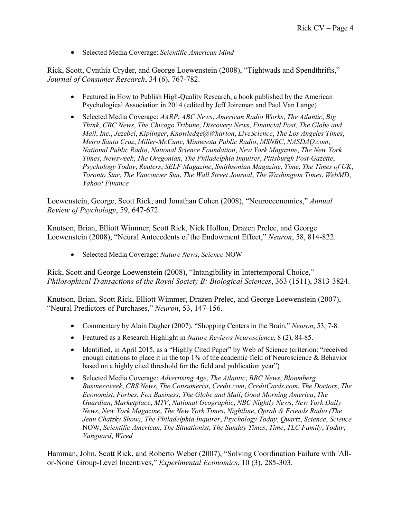• Selected Media Coverage: *Scientific American Mind*

Rick, Scott, Cynthia Cryder, and George Loewenstein (2008), "Tightwads and Spendthrifts," *Journal of Consumer Research*, 34 (6), 767-782.

- Featured in How to Publish High-Quality Research, a book published by the American Psychological Association in 2014 (edited by Jeff Joireman and Paul Van Lange)
- Selected Media Coverage: *AARP*, *ABC News*, *American Radio Works*, *The Atlantic*, *Big Think*, *CBC News*, *The Chicago Tribune*, *Discovery News*, *Financial Post*, *The Globe and Mail*, *Inc.*, *Jezebel*, *Kiplinger*, *Knowledge@Wharton*, *LiveScience*, *The Los Angeles Times*, *Metro Santa Cruz*, *Miller-McCune*, *Minnesota Public Radio*, *MSNBC*, *NASDAQ.com*, *National Public Radio*, *National Science Foundation*, *New York Magazine*, *The New York Times*, *Newsweek*, *The Oregonian*, *The Philadelphia Inquirer*, *Pittsburgh Post-Gazette*, *Psychology Today*, *Reuters*, *SELF Magazine*, *Smithsonian Magazine*, *Time*, *The Times of UK*, *Toronto Star*, *The Vancouver Sun*, *The Wall Street Journal*, *The Washington Times*, *WebMD*, *Yahoo! Finance*

Loewenstein, George, Scott Rick, and Jonathan Cohen (2008), "Neuroeconomics," *Annual Review of Psychology*, 59, 647-672.

Knutson, Brian, Elliott Wimmer, Scott Rick, Nick Hollon, Drazen Prelec, and George Loewenstein (2008), "Neural Antecedents of the Endowment Effect," *Neuron*, 58, 814-822.

• Selected Media Coverage: *Nature News*, *Science* NOW

Rick, Scott and George Loewenstein (2008), "Intangibility in Intertemporal Choice," *Philosophical Transactions of the Royal Society B: Biological Sciences*, 363 (1511), 3813-3824.

Knutson, Brian, Scott Rick, Elliott Wimmer, Drazen Prelec, and George Loewenstein (2007), "Neural Predictors of Purchases," *Neuron*, 53, 147-156.

- Commentary by Alain Dagher (2007), "Shopping Centers in the Brain," *Neuron*, 53, 7-8.
- Featured as a Research Highlight in *Nature Reviews Neuroscience*, 8 (2), 84-85.
- Identified, in April 2015, as a "Highly Cited Paper" by Web of Science (criterion: "received enough citations to place it in the top 1% of the academic field of Neuroscience & Behavior based on a highly cited threshold for the field and publication year")
- Selected Media Coverage: *Advertising Age*, *The Atlantic*, *BBC News*, *Bloomberg Businessweek*, *CBS News*, *The Consumerist*, *Credit.com*, *CreditCards.com*, *The Doctors*, *The Economist*, *Forbes*, *Fox Business*, *The Globe and Mail*, *Good Morning America*, *The Guardian*, *Marketplace*, *MTV*, *National Geographic*, *NBC Nightly News*, *New York Daily News*, *New York Magazine*, *The New York Times*, *Nightline*, *Oprah & Friends Radio (The Jean Chatzky Show)*, *The Philadelphia Inquirer*, *Psychology Today*, *Quartz*, *Science*, *Science* NOW, *Scientific American*, *The Situationist*, *The Sunday Times*, *Time*, *TLC Family*, *Today*, *Vanguard*, *Wired*

Hamman, John, Scott Rick, and Roberto Weber (2007), "Solving Coordination Failure with 'Allor-None' Group-Level Incentives," *Experimental Economics*, 10 (3), 285-303.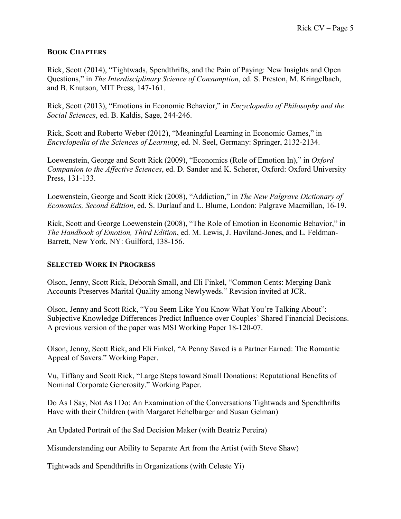#### **BOOK CHAPTERS**

Rick, Scott (2014), "Tightwads, Spendthrifts, and the Pain of Paying: New Insights and Open Questions," in *The Interdisciplinary Science of Consumption*, ed. S. Preston, M. Kringelbach, and B. Knutson, MIT Press, 147-161.

Rick, Scott (2013), "Emotions in Economic Behavior," in *Encyclopedia of Philosophy and the Social Sciences*, ed. B. Kaldis, Sage, 244-246.

Rick, Scott and Roberto Weber (2012), "Meaningful Learning in Economic Games," in *Encyclopedia of the Sciences of Learning*, ed. N. Seel, Germany: Springer, 2132-2134.

Loewenstein, George and Scott Rick (2009), "Economics (Role of Emotion In)," in *Oxford Companion to the Affective Sciences*, ed. D. Sander and K. Scherer, Oxford: Oxford University Press, 131-133.

Loewenstein, George and Scott Rick (2008), "Addiction," in *The New Palgrave Dictionary of Economics, Second Edition*, ed. S. Durlauf and L. Blume, London: Palgrave Macmillan, 16-19.

Rick, Scott and George Loewenstein (2008), "The Role of Emotion in Economic Behavior," in *The Handbook of Emotion, Third Edition*, ed. M. Lewis, J. Haviland-Jones, and L. Feldman-Barrett, New York, NY: Guilford, 138-156.

## **SELECTED WORK IN PROGRESS**

Olson, Jenny, Scott Rick, Deborah Small, and Eli Finkel, "Common Cents: Merging Bank Accounts Preserves Marital Quality among Newlyweds." Revision invited at JCR.

Olson, Jenny and Scott Rick, "You Seem Like You Know What You're Talking About": Subjective Knowledge Differences Predict Influence over Couples' Shared Financial Decisions. A previous version of the paper was MSI Working Paper 18-120-07.

Olson, Jenny, Scott Rick, and Eli Finkel, "A Penny Saved is a Partner Earned: The Romantic Appeal of Savers." Working Paper.

Vu, Tiffany and Scott Rick, "Large Steps toward Small Donations: Reputational Benefits of Nominal Corporate Generosity." Working Paper.

Do As I Say, Not As I Do: An Examination of the Conversations Tightwads and Spendthrifts Have with their Children (with Margaret Echelbarger and Susan Gelman)

An Updated Portrait of the Sad Decision Maker (with Beatriz Pereira)

Misunderstanding our Ability to Separate Art from the Artist (with Steve Shaw)

Tightwads and Spendthrifts in Organizations (with Celeste Yi)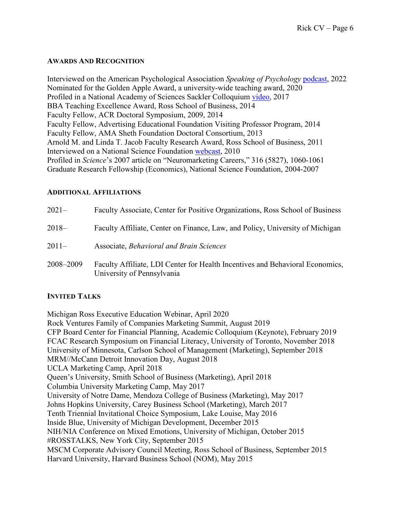#### **AWARDS AND RECOGNITION**

Interviewed on the American Psychological Association *Speaking of Psychology* [podcast,](https://www.apa.org/news/podcasts/speaking-of-psychology/shopping-behavior.html) 2022 Nominated for the Golden Apple Award, a university-wide teaching award, 2020 Profiled in a National Academy of Sciences Sackler Colloquium [video,](https://www.youtube.com/watch?v=IW9zvoASFHk&feature=youtu.be&t=1m11s) 2017 BBA Teaching Excellence Award, Ross School of Business, 2014 Faculty Fellow, ACR Doctoral Symposium, 2009, 2014 Faculty Fellow, Advertising Educational Foundation Visiting Professor Program, 2014 Faculty Fellow, AMA Sheth Foundation Doctoral Consortium, 2013 Arnold M. and Linda T. Jacob Faculty Research Award, Ross School of Business, 2011 Interviewed on a National Science Foundation [webcast,](https://www.nsf.gov/news/news_summ.jsp?cntn_id=118072) 2010 Profiled in *Science*'s 2007 article on "Neuromarketing Careers," 316 (5827), 1060-1061 Graduate Research Fellowship (Economics), National Science Foundation, 2004-2007

#### **ADDITIONAL AFFILIATIONS**

| $2021 -$  | Faculty Associate, Center for Positive Organizations, Ross School of Business                               |
|-----------|-------------------------------------------------------------------------------------------------------------|
| $2018-$   | Faculty Affiliate, Center on Finance, Law, and Policy, University of Michigan                               |
| $2011-$   | Associate, Behavioral and Brain Sciences                                                                    |
| 2008-2009 | Faculty Affiliate, LDI Center for Health Incentives and Behavioral Economics,<br>University of Pennsylvania |

## **INVITED TALKS**

Michigan Ross Executive Education Webinar, April 2020 Rock Ventures Family of Companies Marketing Summit, August 2019 CFP Board Center for Financial Planning, Academic Colloquium (Keynote), February 2019 FCAC Research Symposium on Financial Literacy, University of Toronto, November 2018 University of Minnesota, Carlson School of Management (Marketing), September 2018 MRM//McCann Detroit Innovation Day, August 2018 UCLA Marketing Camp, April 2018 Queen's University, Smith School of Business (Marketing), April 2018 Columbia University Marketing Camp, May 2017 University of Notre Dame, Mendoza College of Business (Marketing), May 2017 Johns Hopkins University, Carey Business School (Marketing), March 2017 Tenth Triennial Invitational Choice Symposium, Lake Louise, May 2016 Inside Blue, University of Michigan Development, December 2015 NIH/NIA Conference on Mixed Emotions, University of Michigan, October 2015 #ROSSTALKS, New York City, September 2015 MSCM Corporate Advisory Council Meeting, Ross School of Business, September 2015 Harvard University, Harvard Business School (NOM), May 2015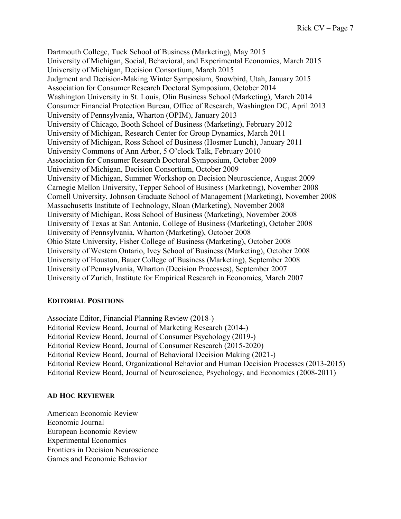Dartmouth College, Tuck School of Business (Marketing), May 2015 University of Michigan, Social, Behavioral, and Experimental Economics, March 2015 University of Michigan, Decision Consortium, March 2015 Judgment and Decision-Making Winter Symposium, Snowbird, Utah, January 2015 Association for Consumer Research Doctoral Symposium, October 2014 Washington University in St. Louis, Olin Business School (Marketing), March 2014 Consumer Financial Protection Bureau, Office of Research, Washington DC, April 2013 University of Pennsylvania, Wharton (OPIM), January 2013 University of Chicago, Booth School of Business (Marketing), February 2012 University of Michigan, Research Center for Group Dynamics, March 2011 University of Michigan, Ross School of Business (Hosmer Lunch), January 2011 University Commons of Ann Arbor, 5 O'clock Talk, February 2010 Association for Consumer Research Doctoral Symposium, October 2009 University of Michigan, Decision Consortium, October 2009 University of Michigan, Summer Workshop on Decision Neuroscience, August 2009 Carnegie Mellon University, Tepper School of Business (Marketing), November 2008 Cornell University, Johnson Graduate School of Management (Marketing), November 2008 Massachusetts Institute of Technology, Sloan (Marketing), November 2008 University of Michigan, Ross School of Business (Marketing), November 2008 University of Texas at San Antonio, College of Business (Marketing), October 2008 University of Pennsylvania, Wharton (Marketing), October 2008 Ohio State University, Fisher College of Business (Marketing), October 2008 University of Western Ontario, Ivey School of Business (Marketing), October 2008 University of Houston, Bauer College of Business (Marketing), September 2008 University of Pennsylvania, Wharton (Decision Processes), September 2007 University of Zurich, Institute for Empirical Research in Economics, March 2007

## **EDITORIAL POSITIONS**

Associate Editor, Financial Planning Review (2018-) Editorial Review Board, Journal of Marketing Research (2014-) Editorial Review Board, Journal of Consumer Psychology (2019-) Editorial Review Board, Journal of Consumer Research (2015-2020) Editorial Review Board, Journal of Behavioral Decision Making (2021-) Editorial Review Board, Organizational Behavior and Human Decision Processes (2013-2015) Editorial Review Board, Journal of Neuroscience, Psychology, and Economics (2008-2011)

#### **AD HOC REVIEWER**

American Economic Review Economic Journal European Economic Review Experimental Economics Frontiers in Decision Neuroscience Games and Economic Behavior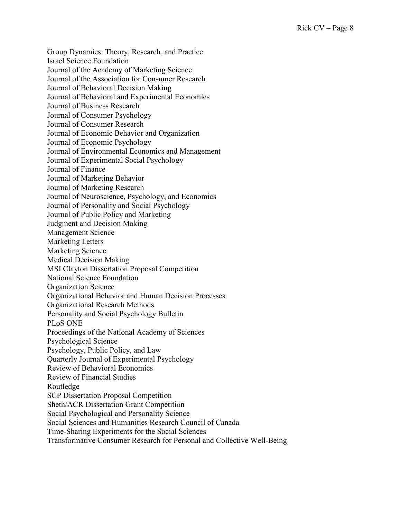Group Dynamics: Theory, Research, and Practice Israel Science Foundation Journal of the Academy of Marketing Science Journal of the Association for Consumer Research Journal of Behavioral Decision Making Journal of Behavioral and Experimental Economics Journal of Business Research Journal of Consumer Psychology Journal of Consumer Research Journal of Economic Behavior and Organization Journal of Economic Psychology Journal of Environmental Economics and Management Journal of Experimental Social Psychology Journal of Finance Journal of Marketing Behavior Journal of Marketing Research Journal of Neuroscience, Psychology, and Economics Journal of Personality and Social Psychology Journal of Public Policy and Marketing Judgment and Decision Making Management Science Marketing Letters Marketing Science Medical Decision Making MSI Clayton Dissertation Proposal Competition National Science Foundation Organization Science Organizational Behavior and Human Decision Processes Organizational Research Methods Personality and Social Psychology Bulletin PLoS ONE Proceedings of the National Academy of Sciences Psychological Science Psychology, Public Policy, and Law Quarterly Journal of Experimental Psychology Review of Behavioral Economics Review of Financial Studies Routledge SCP Dissertation Proposal Competition Sheth/ACR Dissertation Grant Competition Social Psychological and Personality Science Social Sciences and Humanities Research Council of Canada Time-Sharing Experiments for the Social Sciences

Transformative Consumer Research for Personal and Collective Well-Being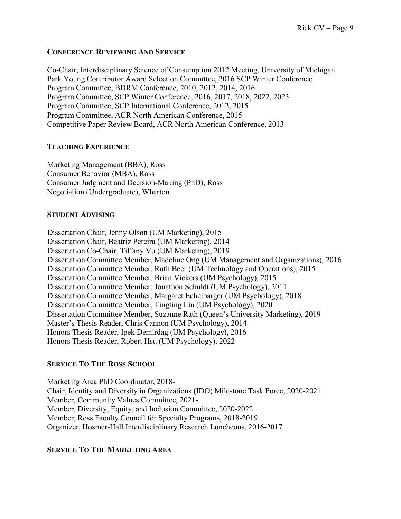#### **CONFERENCE REVIEWING AND SERVICE**

Co-Chair, Interdisciplinary Science of Consumption 2012 Meeting, University of Michigan Park Young Contributor Award Selection Committee, 2016 SCP Winter Conference Program Committee, BDRM Conference, 2010, 2012, 2014, 2016 Program Committee, SCP Winter Conference, 2016, 2017, 2018, 2022, 2023 Program Committee, SCP International Conference, 2012, 2015 Program Committee, ACR North American Conference, 2015 Competitive Paper Review Board, ACR North American Conference, 2013

#### **TEACHING EXPERIENCE**

Marketing Management (BBA), Ross Consumer Behavior (MBA), Ross Consumer Judgment and Decision-Making (PhD), Ross Negotiation (Undergraduate), Wharton

#### **STUDENT ADVISING**

Dissertation Chair, Jenny Olson (UM Marketing), 2015 Dissertation Chair, Beatriz Pereira (UM Marketing), 2014 Dissertation Co-Chair, Tiffany Vu (UM Marketing), 2019 Dissertation Committee Member, Madeline Ong (UM Management and Organizations), 2016 Dissertation Committee Member, Ruth Beer (UM Technology and Operations), 2015 Dissertation Committee Member, Brian Vickers (UM Psychology), 2015 Dissertation Committee Member, Jonathon Schuldt (UM Psychology), 2011 Dissertation Committee Member, Margaret Echelbarger (UM Psychology), 2018 Dissertation Committee Member, Tingting Liu (UM Psychology), 2020 Dissertation Committee Member, Suzanne Rath (Queen's University Marketing), 2019 Master's Thesis Reader, Chris Cannon (UM Psychology), 2014 Honors Thesis Reader, Ipek Demirdag (UM Psychology), 2016 Honors Thesis Reader, Robert Hsu (UM Psychology), 2022

## **SERVICE TO THE ROSS SCHOOL**

Marketing Area PhD Coordinator, 2018- Chair, Identity and Diversity in Organizations (IDO) Milestone Task Force, 2020-2021 Member, Community Values Committee, 2021- Member, Diversity, Equity, and Inclusion Committee, 2020-2022 Member, Ross Faculty Council for Specialty Programs, 2018-2019 Organizer, Hosmer-Hall Interdisciplinary Research Luncheons, 2016-2017

## **SERVICE TO THE MARKETING AREA**